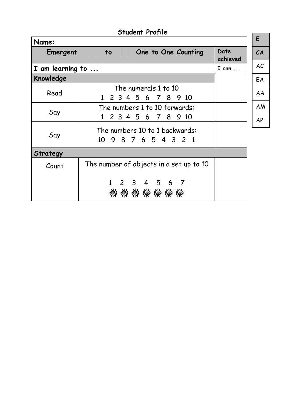|                          |           | <b>Student Profile</b>                                 |                  |
|--------------------------|-----------|--------------------------------------------------------|------------------|
| Name:                    |           |                                                        |                  |
| Emergent                 | to        | One to One Counting                                    | Date<br>achieved |
| I am learning to $\dots$ |           |                                                        | I can            |
| Knowledge                |           |                                                        |                  |
| Read                     | $1 \quad$ | The numerals 1 to 10<br>2 3 4 5 6 7 8 9 10             |                  |
| Say                      | $1 \quad$ | The numbers 1 to 10 forwards:<br>2 3 4 5 6 7 8<br>9 10 |                  |
| Say                      |           | The numbers 10 to 1 backwards:<br>10 9 8 7 6 5 4 3 2 1 |                  |
| Strategy                 |           |                                                        |                  |
| Count                    |           | The number of objects in a set up to 10                |                  |
|                          |           | 1 2 3 4 5 6 7<br>* * * * * *<br>憥                      |                  |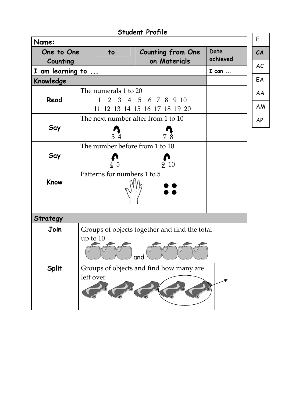|                              | <b>Student Profile</b>                                             |                  |           |
|------------------------------|--------------------------------------------------------------------|------------------|-----------|
| Name:                        |                                                                    |                  | E         |
| One to One                   | <b>Counting from One</b><br>to<br>on Materials                     | Date<br>achieved | CA        |
| Counting<br>I am learning to |                                                                    | $I can \dots$    | AC        |
| Knowledge                    |                                                                    |                  | EA        |
| Read                         | The numerals 1 to 20<br>2 3 4 5 6 7 8 9 10<br>$\mathbf{1}$         |                  | AA        |
|                              | 11 12 13 14 15 16 17 18 19 20                                      |                  | AM        |
|                              | The next number after from 1 to 10                                 |                  | <b>AP</b> |
| Say                          | 78<br>3 <sup>1</sup>                                               |                  |           |
|                              | The number before from 1 to 10                                     |                  |           |
| Say                          | -10<br>5                                                           |                  |           |
| Know                         | Patterns for numbers 1 to 5                                        |                  |           |
| Strategy                     |                                                                    |                  |           |
| Join                         | Groups of objects together and find the total<br>up to $10$<br>and |                  |           |
| <b>Split</b>                 | Groups of objects and find how many are<br>left over               |                  |           |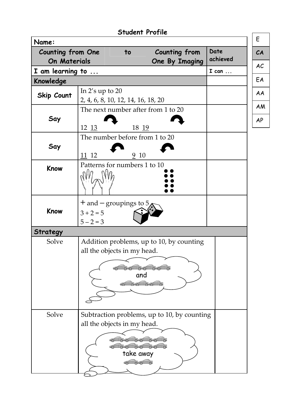|                          |                                                           |                    | <b>Student Profile</b>                                             |               |           |
|--------------------------|-----------------------------------------------------------|--------------------|--------------------------------------------------------------------|---------------|-----------|
| Name:                    |                                                           |                    |                                                                    |               | E         |
| <b>Counting from One</b> |                                                           | $\overline{10}$    | <b>Counting from</b>                                               | Date          | CA        |
| On Materials             |                                                           |                    | One By Imaging                                                     | achieved      | AC        |
| I am learning to         |                                                           |                    |                                                                    | $I can \dots$ |           |
| Knowledge                |                                                           |                    |                                                                    |               | EA        |
| <b>Skip Count</b>        | In $2's$ up to $20$<br>2, 4, 6, 8, 10, 12, 14, 16, 18, 20 |                    |                                                                    |               | AA        |
| Say                      |                                                           |                    | The next number after from 1 to 20                                 |               | <b>AM</b> |
|                          | 12 13                                                     | 18 19              |                                                                    |               | <b>AP</b> |
| Say                      |                                                           |                    | The number before from 1 to 20                                     |               |           |
|                          | $111$ 12                                                  | $\frac{9}{2}$ 10   |                                                                    |               |           |
| Know                     | Patterns for numbers 1 to 10                              |                    |                                                                    |               |           |
| Know                     | $+$ and $-$ groupings to 5<br>$3 + 2 = 5$<br>$5 - 2 = 3$  |                    |                                                                    |               |           |
| Strategy                 |                                                           |                    |                                                                    |               |           |
| Solve                    | all the objects in my head.                               |                    | Addition problems, up to 10, by counting<br>0.000<br>and<br>0.0000 |               |           |
| Solve                    | all the objects in my head.                               | take away<br>00000 | Subtraction problems, up to 10, by counting<br>0000000             |               |           |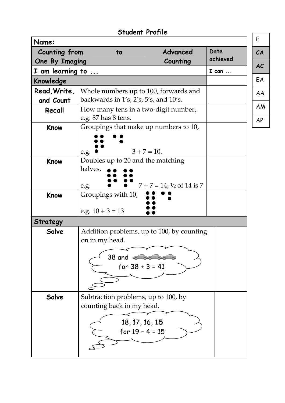|                               | <b>Student Profile</b>                                                                     |                                           |                  |
|-------------------------------|--------------------------------------------------------------------------------------------|-------------------------------------------|------------------|
| Name:                         |                                                                                            |                                           |                  |
| Counting from                 | to                                                                                         | Advanced                                  | Date<br>achieved |
| <b>One By Imaging</b>         |                                                                                            | Counting                                  | $I can \dots$    |
| I am learning to<br>Knowledge |                                                                                            |                                           |                  |
|                               |                                                                                            |                                           |                  |
| Read, Write,<br>and Count     | Whole numbers up to 100, forwards and<br>backwards in $1's$ , $2's$ , $5's$ , and $10's$ . |                                           |                  |
| Recall                        | How many tens in a two-digit number,                                                       |                                           |                  |
|                               | e.g. 87 has 8 tens.                                                                        |                                           |                  |
| Know                          | Groupings that make up numbers to 10,                                                      |                                           |                  |
|                               |                                                                                            |                                           |                  |
|                               |                                                                                            | $3 + 7 = 10$ .                            |                  |
| Know                          | e.g.<br>Doubles up to 20 and the matching                                                  |                                           |                  |
|                               | halves,                                                                                    |                                           |                  |
|                               |                                                                                            |                                           |                  |
|                               | e.g.                                                                                       | $7 + 7 = 14$ , $\frac{1}{2}$ of 14 is 7   |                  |
| Know                          | Groupings with 10,                                                                         |                                           |                  |
|                               | e.g. $10 + 3 = 13$                                                                         |                                           |                  |
| <b>Strategy</b>               |                                                                                            |                                           |                  |
| Solve                         |                                                                                            | Addition problems, up to 100, by counting |                  |
|                               | on in my head.                                                                             |                                           |                  |
|                               |                                                                                            |                                           |                  |
|                               | 38 and 00000000                                                                            |                                           |                  |
|                               | for $38 + 3 = 41$                                                                          |                                           |                  |
|                               |                                                                                            |                                           |                  |
|                               |                                                                                            |                                           |                  |
| Solve                         | Subtraction problems, up to 100, by                                                        |                                           |                  |
|                               | counting back in my head.                                                                  |                                           |                  |
|                               |                                                                                            |                                           |                  |
|                               | 18, 17, 16, 15<br>for $19 - 4 = 15$                                                        |                                           |                  |
|                               |                                                                                            |                                           |                  |
|                               |                                                                                            |                                           |                  |
|                               |                                                                                            |                                           |                  |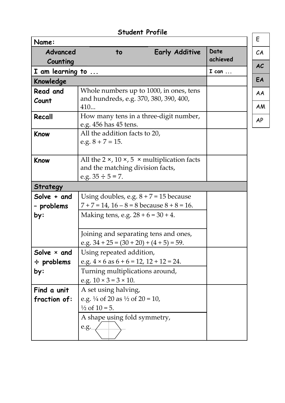|                                              | <b>Student Profile</b>                                                                                                                                    |                       |               |           |
|----------------------------------------------|-----------------------------------------------------------------------------------------------------------------------------------------------------------|-----------------------|---------------|-----------|
| Name:                                        |                                                                                                                                                           |                       |               | E         |
| Advanced                                     | to                                                                                                                                                        | <b>Early Additive</b> | Date          | CA        |
| Counting                                     |                                                                                                                                                           |                       | achieved      | <b>AC</b> |
| I am learning to                             |                                                                                                                                                           |                       | $I can \dots$ |           |
| Knowledge                                    |                                                                                                                                                           |                       |               | EA        |
| Read and                                     | Whole numbers up to 1000, in ones, tens                                                                                                                   |                       |               | AA        |
| Count                                        | and hundreds, e.g. 370, 380, 390, 400,<br>410                                                                                                             |                       |               | <b>AM</b> |
| Recall                                       | How many tens in a three-digit number,<br>e.g. 456 has 45 tens.                                                                                           |                       |               |           |
| Know                                         | All the addition facts to 20,<br>e.g. $8 + 7 = 15$ .                                                                                                      |                       |               |           |
| Know                                         | All the $2 \times$ , $10 \times$ , $5 \times$ multiplication facts<br>and the matching division facts,<br>e.g. $35 \div 5 = 7$ .                          |                       |               |           |
| Strategy                                     |                                                                                                                                                           |                       |               |           |
| Solve + and<br>- problems<br>by:             | Using doubles, e.g. $8 + 7 = 15$ because<br>$7 + 7 = 14$ , $16 - 8 = 8$ because $8 + 8 = 16$ .<br>Making tens, e.g. $28 + 6 = 30 + 4$ .                   |                       |               |           |
|                                              | Joining and separating tens and ones,<br>e.g. $34 + 25 = (30 + 20) + (4 + 5) = 59$ .                                                                      |                       |               |           |
| Solve $\times$ and<br>$\div$ problems<br>by: | Using repeated addition,<br>e.g. $4 \times 6$ as $6 + 6 = 12$ , $12 + 12 = 24$ .<br>Turning multiplications around,<br>e.g. $10 \times 3 = 3 \times 10$ . |                       |               |           |
| Find a unit<br>fraction of:                  | A set using halving,<br>e.g. $\frac{1}{4}$ of 20 as $\frac{1}{2}$ of 20 = 10,                                                                             |                       |               |           |
|                                              | $\frac{1}{2}$ of $10 = 5$ .<br>A shape using fold symmetry,<br>e.g.                                                                                       |                       |               |           |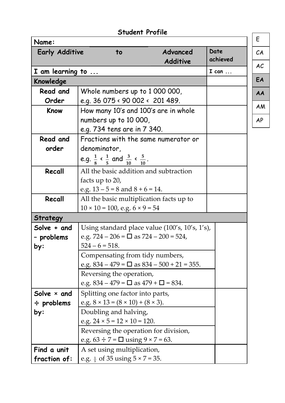|                       | <b>Student Profile</b>                                                   |                             |                  |
|-----------------------|--------------------------------------------------------------------------|-----------------------------|------------------|
| Name:                 |                                                                          |                             |                  |
| <b>Early Additive</b> | to                                                                       | Advanced<br><b>Additive</b> | Date<br>achieved |
| I am learning to      |                                                                          |                             | I can            |
| Knowledge             |                                                                          |                             |                  |
| Read and              | Whole numbers up to 1 000 000,                                           |                             |                  |
| Order                 | e.g. 36 075 < 90 002 < 201 489.                                          |                             |                  |
| Know                  | How many 10's and 100's are in whole                                     |                             |                  |
|                       | numbers up to 10 000,                                                    |                             |                  |
|                       | e.g. 734 tens are in 7 340.                                              |                             |                  |
| Read and              | Fractions with the same numerator or                                     |                             |                  |
| order                 | denominator,                                                             |                             |                  |
|                       | e.g. $\frac{1}{8}$ < $\frac{1}{5}$ and $\frac{3}{10}$ < $\frac{5}{10}$ . |                             |                  |
| Recall                | All the basic addition and subtraction                                   |                             |                  |
|                       | facts up to 20,                                                          |                             |                  |
|                       | e.g. $13 - 5 = 8$ and $8 + 6 = 14$ .                                     |                             |                  |
| Recall                | All the basic multiplication facts up to                                 |                             |                  |
|                       | $10 \times 10 = 100$ , e.g. $6 \times 9 = 54$                            |                             |                  |
| Strategy              |                                                                          |                             |                  |
| Solve + and           | Using standard place value (100's, 10's, 1's),                           |                             |                  |
| - problems            | e.g. $724 - 206 = \square$ as $724 - 200 = 524$ ,                        |                             |                  |
| py:                   | $524 - 6 = 518.$                                                         |                             |                  |
|                       | Compensating from tidy numbers,                                          |                             |                  |
|                       | e.g. $834 - 479 = \square$ as $834 - 500 + 21 = 355$ .                   |                             |                  |
|                       | Reversing the operation,                                                 |                             |                  |
|                       | e.g. $834 - 479 = \square$ as $479 + \square = 834$ .                    |                             |                  |
| Solve $\times$ and    | Splitting one factor into parts,                                         |                             |                  |
| $\div$ problems       | e.g. $8 \times 13 = (8 \times 10) + (8 \times 3)$ .                      |                             |                  |
| by:                   | Doubling and halving,                                                    |                             |                  |
|                       | e.g. $24 \times 5 = 12 \times 10 = 120$ .                                |                             |                  |
|                       | Reversing the operation for division,                                    |                             |                  |
|                       | e.g. $63 \div 7 = \square$ using $9 \times 7 = 63$ .                     |                             |                  |
| Find a unit           | A set using multiplication,                                              |                             |                  |
| fraction of:          | e.g. $\frac{1}{5}$ of 35 using $5 \times 7 = 35$ .                       |                             |                  |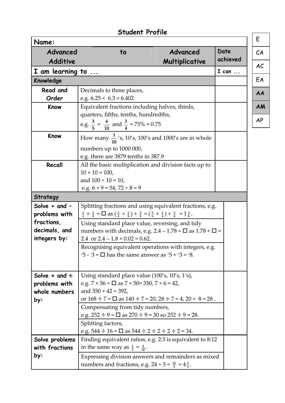|                             | <b>Student Profile</b>                                                                                                                         |                            |                  |
|-----------------------------|------------------------------------------------------------------------------------------------------------------------------------------------|----------------------------|------------------|
| Name:                       |                                                                                                                                                |                            |                  |
| Advanced<br><b>Additive</b> | to                                                                                                                                             | Advanced<br>Multiplicative | Date<br>achieved |
| I am learning to            |                                                                                                                                                |                            | $I can \dots$    |
| Knowledge                   |                                                                                                                                                |                            |                  |
| Read and                    | Decimals to three places,                                                                                                                      |                            |                  |
| Order                       | e.g. $6.25 < 6.3 < 6.402$                                                                                                                      |                            |                  |
| Know                        | Equivalent fractions including halves, thirds,<br>quarters, fifths, tenths, hundredths,                                                        |                            |                  |
|                             | e.g. $\frac{3}{5} = \frac{6}{10}$ and $\frac{3}{4} = 75\% = 0.75$                                                                              |                            |                  |
| Know                        | How many $\frac{1}{10}$ 's, 10's, 100's and 1000's are in whole                                                                                |                            |                  |
|                             | numbers up to 1000 000,                                                                                                                        |                            |                  |
|                             | e.g. there are 3879 tenths in 387.9                                                                                                            |                            |                  |
| Recall                      | All the basic multiplication and division facts up to<br>$10 \times 10 = 100$ ,                                                                |                            |                  |
|                             | and $100 \div 10 = 10$ ,                                                                                                                       |                            |                  |
|                             | e.g. $6 \times 9 = 54$ , $72 \div 8 = 9$                                                                                                       |                            |                  |
| Strategy                    |                                                                                                                                                |                            |                  |
| Solve $+$ and $-$           | Splitting fractions and using equivalent fractions, e.g.                                                                                       |                            |                  |
| problems with               | $\frac{3}{4} + \frac{5}{8} = \Box$ as $(\frac{3}{4} + \frac{2}{8}) + \frac{3}{8} = (\frac{3}{4} + \frac{1}{4}) + \frac{3}{8} = 1\frac{3}{8}$ . |                            |                  |
| fractions,                  | Using standard place value, reversing, and tidy                                                                                                |                            |                  |
| decimals, and               | numbers with decimals, e.g. $2.4 - 1.78 = \square$ as $1.78 + \square$ =                                                                       |                            |                  |
| integers by:                | 2.4 or $2.4 - 1.8 + 0.02 = 0.62$ .                                                                                                             |                            |                  |
|                             | Recognising equivalent operations with integers, e.g.<br>$-5 - 3 = \Box$ has the same answer as $-5 + 3 = -8$ .                                |                            |                  |
| Solve $\times$ and $\div$   | Using standard place value (100's, 10's, 1's),                                                                                                 |                            |                  |
| problems with               | e.g. $7 \times 56 = \square$ as $7 \times 50 = 350$ , $7 \times 6 = 42$ ,                                                                      |                            |                  |
| whole numbers               | and $350 + 42 = 392$ ,                                                                                                                         |                            |                  |
| by:                         | or $168 \div 7 = \square$ as $140 \div 7 = 20$ , $28 \div 7 = 4$ , $20 + 8 = 28$ .                                                             |                            |                  |
|                             | Compensating from tidy numbers,                                                                                                                |                            |                  |
|                             | e.g. $252 \div 9 = \square$ as $270 \div 9 = 30$ so $252 \div 9 = 28$ .                                                                        |                            |                  |
|                             | Splitting factors,                                                                                                                             |                            |                  |
|                             | e.g. $544 \div 16 = \square$ as $544 \div 2 \div 2 \div 2 \div 2 = 34$ .                                                                       |                            |                  |
| Solve problems              | Finding equivalent ratios, e.g. 2:3 is equivalent to 8:12                                                                                      |                            |                  |
| with fractions              | in the same way as $\frac{2}{5} = \frac{8}{20}$ .                                                                                              |                            |                  |
| by:                         | Expressing division answers and remainders as mixed<br>numbers and fractions, e.g. $24 \div 5 = \frac{24}{5} = 4\frac{4}{5}$ .                 |                            |                  |